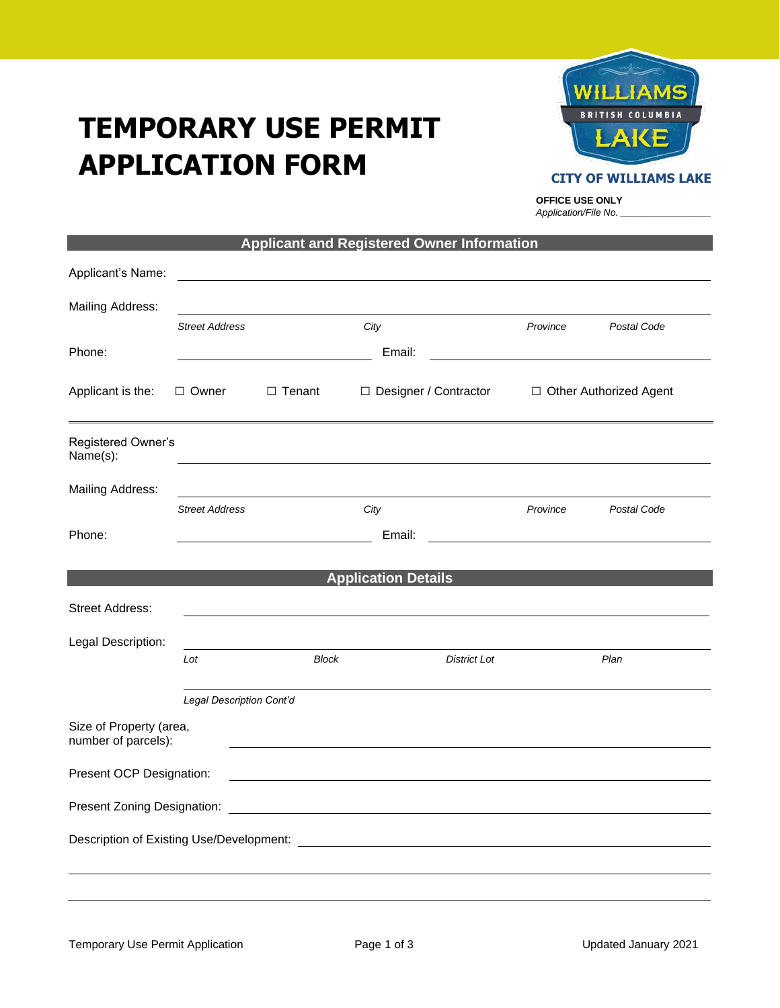# **TEMPORARY USE PERMIT APPLICATION FORM**



#### **CITY OF WILLIAMS LAKE**

**OFFICE USE ONLY** *Application/File No. \_\_\_\_\_\_\_\_\_\_\_\_\_\_\_\_\_*

|                                                |                                                     |              | <b>Applicant and Registered Owner Information</b> |                     |                          |                                                                                                                        |
|------------------------------------------------|-----------------------------------------------------|--------------|---------------------------------------------------|---------------------|--------------------------|------------------------------------------------------------------------------------------------------------------------|
| Applicant's Name:                              |                                                     |              |                                                   |                     |                          |                                                                                                                        |
| <b>Mailing Address:</b>                        |                                                     |              |                                                   |                     |                          |                                                                                                                        |
|                                                | <b>Street Address</b>                               |              | City                                              |                     | Province                 | Postal Code                                                                                                            |
| Phone:                                         |                                                     |              | Email:                                            |                     |                          | <u> 1989 - Johann Stoff, deutscher Stoffen und der Stoffen und der Stoffen und der Stoffen und der Stoffen und der</u> |
| Applicant is the:                              | □ Designer / Contractor<br>□ Owner<br>$\Box$ Tenant |              |                                                   |                     | □ Other Authorized Agent |                                                                                                                        |
| Registered Owner's<br>Name(s):                 |                                                     |              |                                                   |                     |                          |                                                                                                                        |
| <b>Mailing Address:</b>                        |                                                     |              |                                                   |                     |                          |                                                                                                                        |
|                                                | <b>Street Address</b>                               |              | City                                              |                     | Province                 | Postal Code                                                                                                            |
| Phone:                                         |                                                     |              | Email:                                            |                     |                          | <u> 1980 - John Stein, Amerikaansk politiker (</u>                                                                     |
|                                                |                                                     |              | <b>Application Details</b>                        |                     |                          |                                                                                                                        |
| <b>Street Address:</b>                         |                                                     |              |                                                   |                     |                          |                                                                                                                        |
|                                                |                                                     |              |                                                   |                     |                          |                                                                                                                        |
| Legal Description:                             | Lot                                                 | <b>Block</b> |                                                   | <b>District Lot</b> |                          | Plan                                                                                                                   |
|                                                |                                                     |              |                                                   |                     |                          |                                                                                                                        |
|                                                | Legal Description Cont'd                            |              |                                                   |                     |                          |                                                                                                                        |
| Size of Property (area,<br>number of parcels): |                                                     |              |                                                   |                     |                          |                                                                                                                        |
| Present OCP Designation:                       |                                                     |              |                                                   |                     |                          |                                                                                                                        |
|                                                |                                                     |              |                                                   |                     |                          |                                                                                                                        |
|                                                |                                                     |              |                                                   |                     |                          |                                                                                                                        |
|                                                |                                                     |              |                                                   |                     |                          |                                                                                                                        |
|                                                |                                                     |              |                                                   |                     |                          |                                                                                                                        |
|                                                |                                                     |              |                                                   |                     |                          |                                                                                                                        |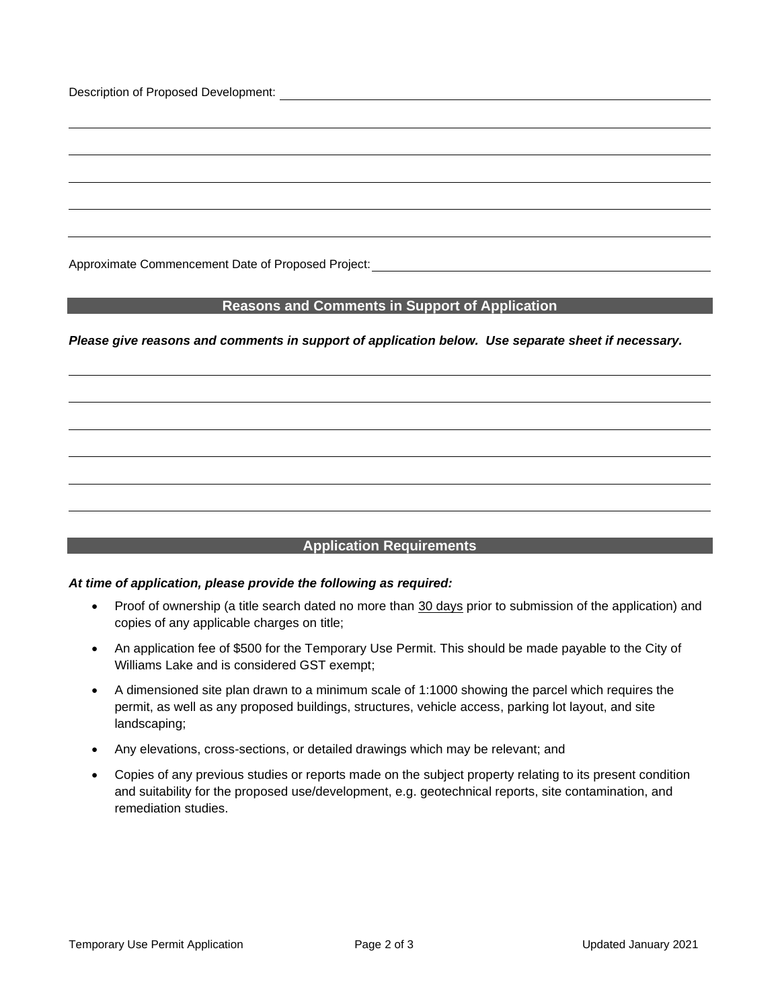Description of Proposed Development:

Approximate Commencement Date of Proposed Project:

## **Reasons and Comments in Support of Application**

*Please give reasons and comments in support of application below. Use separate sheet if necessary.*

# **Application Requirements**

### *At time of application, please provide the following as required:*

- Proof of ownership (a title search dated no more than 30 days prior to submission of the application) and copies of any applicable charges on title;
- An application fee of \$500 for the Temporary Use Permit. This should be made payable to the City of Williams Lake and is considered GST exempt;
- A dimensioned site plan drawn to a minimum scale of 1:1000 showing the parcel which requires the permit, as well as any proposed buildings, structures, vehicle access, parking lot layout, and site landscaping;
- Any elevations, cross-sections, or detailed drawings which may be relevant; and
- Copies of any previous studies or reports made on the subject property relating to its present condition and suitability for the proposed use/development, e.g. geotechnical reports, site contamination, and remediation studies.